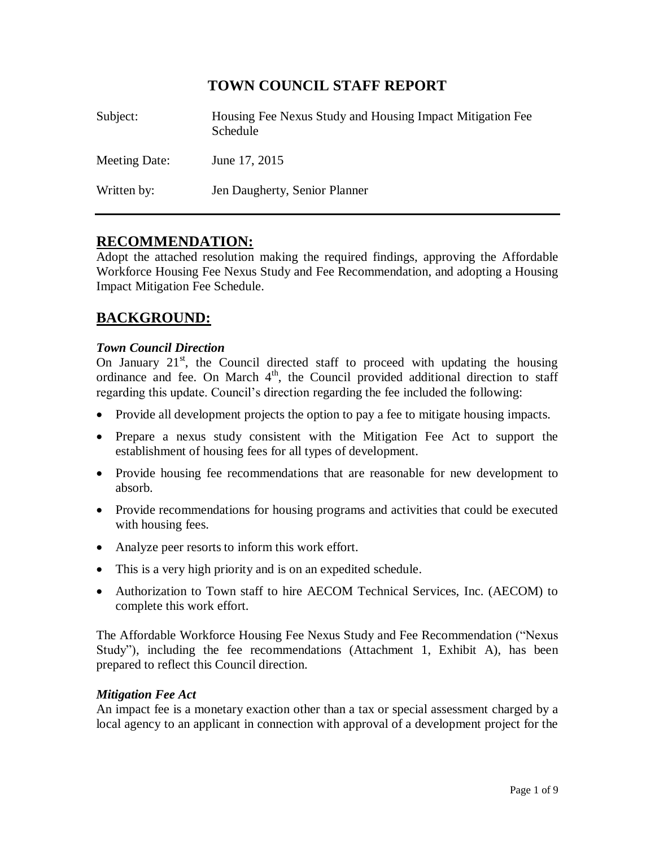# **TOWN COUNCIL STAFF REPORT**

| Subject:      | Housing Fee Nexus Study and Housing Impact Mitigation Fee<br>Schedule |
|---------------|-----------------------------------------------------------------------|
| Meeting Date: | June 17, 2015                                                         |
| Written by:   | Jen Daugherty, Senior Planner                                         |

# **RECOMMENDATION:**

Adopt the attached resolution making the required findings, approving the Affordable Workforce Housing Fee Nexus Study and Fee Recommendation, and adopting a Housing Impact Mitigation Fee Schedule.

# **BACKGROUND:**

## *Town Council Direction*

On January  $21<sup>st</sup>$ , the Council directed staff to proceed with updating the housing ordinance and fee. On March  $4<sup>th</sup>$ , the Council provided additional direction to staff regarding this update. Council's direction regarding the fee included the following:

- Provide all development projects the option to pay a fee to mitigate housing impacts.
- Prepare a nexus study consistent with the Mitigation Fee Act to support the establishment of housing fees for all types of development.
- Provide housing fee recommendations that are reasonable for new development to absorb.
- Provide recommendations for housing programs and activities that could be executed with housing fees.
- Analyze peer resorts to inform this work effort.
- This is a very high priority and is on an expedited schedule.
- Authorization to Town staff to hire AECOM Technical Services, Inc. (AECOM) to complete this work effort.

The Affordable Workforce Housing Fee Nexus Study and Fee Recommendation ("Nexus Study"), including the fee recommendations (Attachment 1, Exhibit A), has been prepared to reflect this Council direction.

### *Mitigation Fee Act*

An impact fee is a monetary exaction other than a tax or special assessment charged by a local agency to an applicant in connection with approval of a development project for the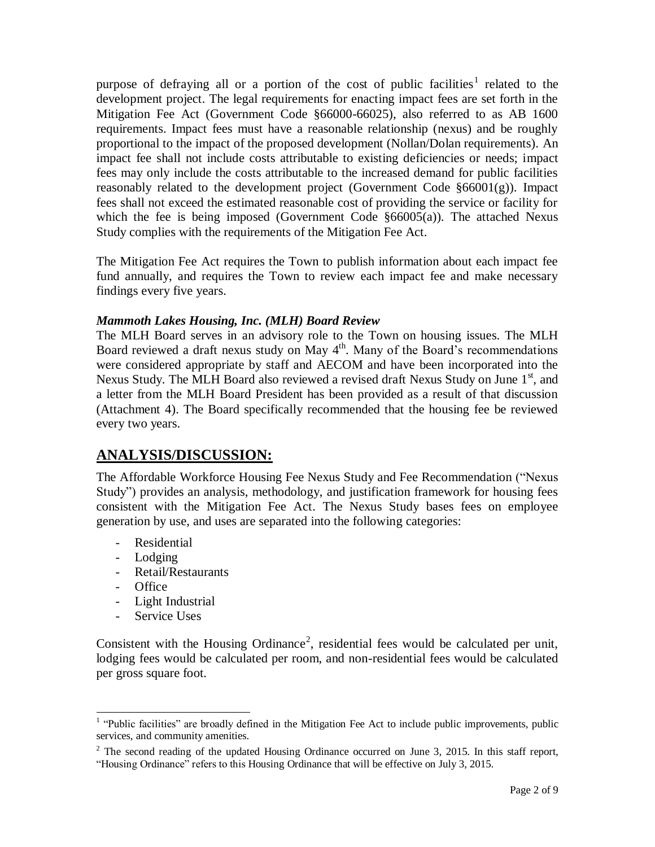purpose of defraying all or a portion of the cost of public facilities<sup>1</sup> related to the development project. The legal requirements for enacting impact fees are set forth in the Mitigation Fee Act (Government Code §66000-66025), also referred to as AB 1600 requirements. Impact fees must have a reasonable relationship (nexus) and be roughly proportional to the impact of the proposed development (Nollan/Dolan requirements). An impact fee shall not include costs attributable to existing deficiencies or needs; impact fees may only include the costs attributable to the increased demand for public facilities reasonably related to the development project (Government Code §66001(g)). Impact fees shall not exceed the estimated reasonable cost of providing the service or facility for which the fee is being imposed (Government Code §66005(a)). The attached Nexus Study complies with the requirements of the Mitigation Fee Act.

The Mitigation Fee Act requires the Town to publish information about each impact fee fund annually, and requires the Town to review each impact fee and make necessary findings every five years.

## *Mammoth Lakes Housing, Inc. (MLH) Board Review*

The MLH Board serves in an advisory role to the Town on housing issues. The MLH Board reviewed a draft nexus study on May 4<sup>th</sup>. Many of the Board's recommendations were considered appropriate by staff and AECOM and have been incorporated into the Nexus Study. The MLH Board also reviewed a revised draft Nexus Study on June  $1<sup>st</sup>$ , and a letter from the MLH Board President has been provided as a result of that discussion (Attachment 4). The Board specifically recommended that the housing fee be reviewed every two years.

# **ANALYSIS/DISCUSSION:**

The Affordable Workforce Housing Fee Nexus Study and Fee Recommendation ("Nexus Study") provides an analysis, methodology, and justification framework for housing fees consistent with the Mitigation Fee Act. The Nexus Study bases fees on employee generation by use, and uses are separated into the following categories:

- Residential
- Lodging
- Retail/Restaurants
- Office

 $\overline{\phantom{a}}$ 

- Light Industrial
- Service Uses

Consistent with the Housing Ordinance<sup>2</sup>, residential fees would be calculated per unit, lodging fees would be calculated per room, and non-residential fees would be calculated per gross square foot.

<sup>&</sup>lt;sup>1</sup> "Public facilities" are broadly defined in the Mitigation Fee Act to include public improvements, public services, and community amenities.

 $2$  The second reading of the updated Housing Ordinance occurred on June 3, 2015. In this staff report, "Housing Ordinance" refers to this Housing Ordinance that will be effective on July 3, 2015.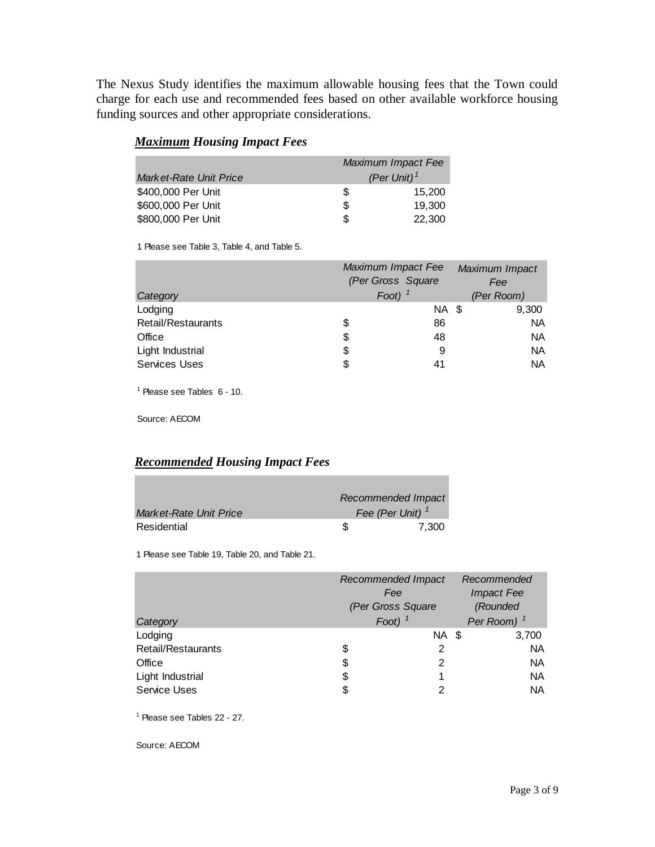The Nexus Study identifies the maximum allowable housing fees that the Town could charge for each use and recommended fees based on other available workforce housing funding sources and other appropriate considerations.

|                        | Maximum Impact Fee |                |  |
|------------------------|--------------------|----------------|--|
| Market-Rate Unit Price |                    | (Per Unit) $1$ |  |
| \$400,000 Per Unit     | S                  | 15.200         |  |
| \$600,000 Per Unit     | S                  | 19.300         |  |
| \$800,000 Per Unit     | S                  | 22,300         |  |

## *Maximum Housing Impact Fees*

1 Please see Table 3, Table 4, and Table 5.

|                      | Maximum Impact Fee<br>(Per Gross Square |           | Maximum Impact<br>Fee |            |
|----------------------|-----------------------------------------|-----------|-----------------------|------------|
| Category             |                                         | Foot) $1$ |                       | (Per Room) |
| Lodging              |                                         | NA \$     |                       | 9,300      |
| Retail/Restaurants   | \$                                      | 86        |                       | <b>NA</b>  |
| Office               | \$                                      | 48        |                       | <b>NA</b>  |
| Light Industrial     | \$                                      | 9         |                       | <b>NA</b>  |
| <b>Services Uses</b> | \$                                      | 41        |                       | <b>NA</b>  |

1 Please see Tables 6 - 10.

Source: AECOM

## *Recommended Housing Impact Fees*

|                        | Recommended Impact |                    |  |
|------------------------|--------------------|--------------------|--|
| Market-Rate Unit Price |                    | Fee (Per Unit) $1$ |  |
| Residential            |                    | 7.300              |  |

1 Please see Table 19, Table 20, and Table 21.

|                     | Recommended Impact |                | Recommended |                        |  |
|---------------------|--------------------|----------------|-------------|------------------------|--|
|                     | Fee                |                |             | <b>Impact Fee</b>      |  |
|                     | (Per Gross Square  |                | (Rounded    |                        |  |
| Category            | Foot)              |                |             | Per Room) <sup>1</sup> |  |
| Lodging             |                    | <b>NA \$</b>   |             | 3,700                  |  |
| Retail/Restaurants  | \$                 | 2              |             | <b>NA</b>              |  |
| Office              | \$                 | $\overline{2}$ |             | <b>NA</b>              |  |
| Light Industrial    | \$                 |                |             | <b>NA</b>              |  |
| <b>Service Uses</b> | \$                 | っ              |             | <b>NA</b>              |  |

1 Please see Tables 22 - 27.

Source: AECOM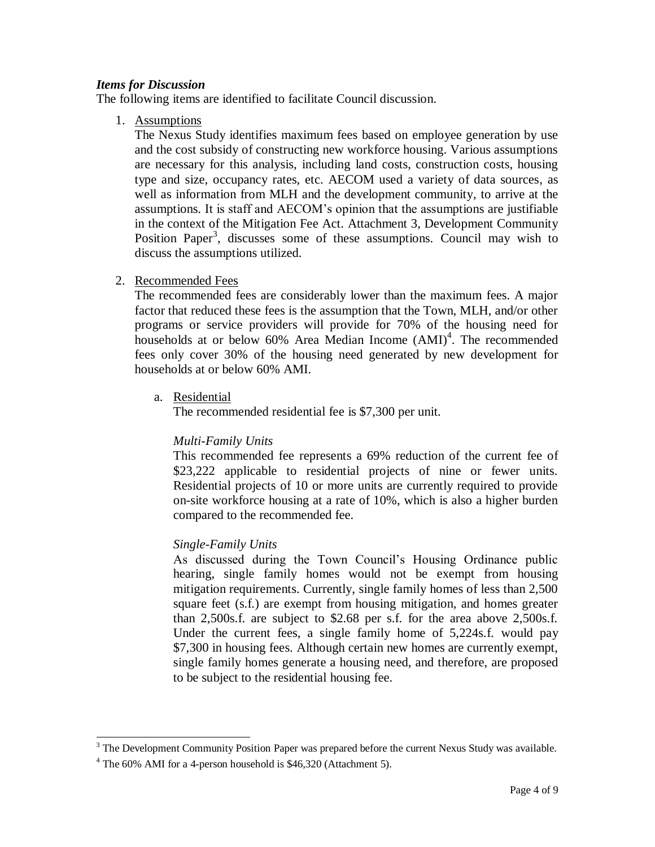### *Items for Discussion*

The following items are identified to facilitate Council discussion.

1. Assumptions

The Nexus Study identifies maximum fees based on employee generation by use and the cost subsidy of constructing new workforce housing. Various assumptions are necessary for this analysis, including land costs, construction costs, housing type and size, occupancy rates, etc. AECOM used a variety of data sources, as well as information from MLH and the development community, to arrive at the assumptions. It is staff and AECOM's opinion that the assumptions are justifiable in the context of the Mitigation Fee Act. Attachment 3, Development Community Position Paper<sup>3</sup>, discusses some of these assumptions. Council may wish to discuss the assumptions utilized.

#### 2. Recommended Fees

The recommended fees are considerably lower than the maximum fees. A major factor that reduced these fees is the assumption that the Town, MLH, and/or other programs or service providers will provide for 70% of the housing need for households at or below  $60\%$  Area Median Income  $(AMI)^4$ . The recommended fees only cover 30% of the housing need generated by new development for households at or below 60% AMI.

a. Residential

The recommended residential fee is \$7,300 per unit.

### *Multi-Family Units*

This recommended fee represents a 69% reduction of the current fee of \$23,222 applicable to residential projects of nine or fewer units. Residential projects of 10 or more units are currently required to provide on-site workforce housing at a rate of 10%, which is also a higher burden compared to the recommended fee.

### *Single-Family Units*

As discussed during the Town Council's Housing Ordinance public hearing, single family homes would not be exempt from housing mitigation requirements. Currently, single family homes of less than 2,500 square feet (s.f.) are exempt from housing mitigation, and homes greater than 2,500s.f. are subject to \$2.68 per s.f. for the area above 2,500s.f. Under the current fees, a single family home of 5,224s.f. would pay \$7,300 in housing fees. Although certain new homes are currently exempt, single family homes generate a housing need, and therefore, are proposed to be subject to the residential housing fee.

 $\overline{\phantom{a}}$ 

 $3$  The Development Community Position Paper was prepared before the current Nexus Study was available.

<sup>4</sup> The 60% AMI for a 4-person household is \$46,320 (Attachment 5).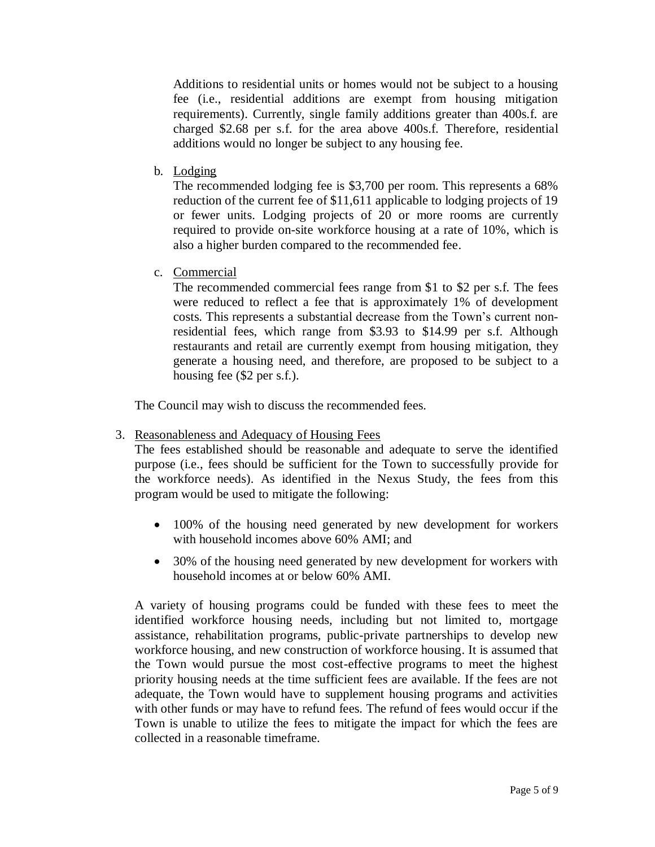Additions to residential units or homes would not be subject to a housing fee (i.e., residential additions are exempt from housing mitigation requirements). Currently, single family additions greater than 400s.f. are charged \$2.68 per s.f. for the area above 400s.f. Therefore, residential additions would no longer be subject to any housing fee.

b. Lodging

The recommended lodging fee is \$3,700 per room. This represents a 68% reduction of the current fee of \$11,611 applicable to lodging projects of 19 or fewer units. Lodging projects of 20 or more rooms are currently required to provide on-site workforce housing at a rate of 10%, which is also a higher burden compared to the recommended fee.

c. Commercial

The recommended commercial fees range from \$1 to \$2 per s.f. The fees were reduced to reflect a fee that is approximately 1% of development costs. This represents a substantial decrease from the Town's current nonresidential fees, which range from \$3.93 to \$14.99 per s.f. Although restaurants and retail are currently exempt from housing mitigation, they generate a housing need, and therefore, are proposed to be subject to a housing fee (\$2 per s.f.).

The Council may wish to discuss the recommended fees.

3. Reasonableness and Adequacy of Housing Fees

The fees established should be reasonable and adequate to serve the identified purpose (i.e., fees should be sufficient for the Town to successfully provide for the workforce needs). As identified in the Nexus Study, the fees from this program would be used to mitigate the following:

- 100% of the housing need generated by new development for workers with household incomes above 60% AMI; and
- 30% of the housing need generated by new development for workers with household incomes at or below 60% AMI.

A variety of housing programs could be funded with these fees to meet the identified workforce housing needs, including but not limited to, mortgage assistance, rehabilitation programs, public-private partnerships to develop new workforce housing, and new construction of workforce housing. It is assumed that the Town would pursue the most cost-effective programs to meet the highest priority housing needs at the time sufficient fees are available. If the fees are not adequate, the Town would have to supplement housing programs and activities with other funds or may have to refund fees. The refund of fees would occur if the Town is unable to utilize the fees to mitigate the impact for which the fees are collected in a reasonable timeframe.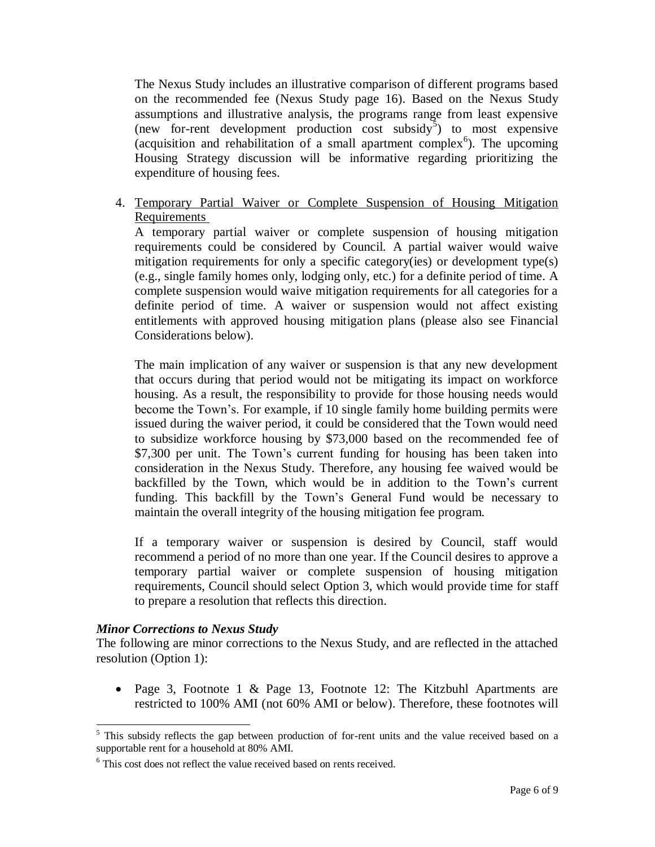The Nexus Study includes an illustrative comparison of different programs based on the recommended fee (Nexus Study page 16). Based on the Nexus Study assumptions and illustrative analysis, the programs range from least expensive (new for-rent development production  $\cos t$  subsidy<sup>5</sup>) to most expensive (acquisition and rehabilitation of a small apartment complex<sup>6</sup>). The upcoming Housing Strategy discussion will be informative regarding prioritizing the expenditure of housing fees.

4. Temporary Partial Waiver or Complete Suspension of Housing Mitigation Requirements

A temporary partial waiver or complete suspension of housing mitigation requirements could be considered by Council. A partial waiver would waive mitigation requirements for only a specific category(ies) or development type(s) (e.g., single family homes only, lodging only, etc.) for a definite period of time. A complete suspension would waive mitigation requirements for all categories for a definite period of time. A waiver or suspension would not affect existing entitlements with approved housing mitigation plans (please also see Financial Considerations below).

The main implication of any waiver or suspension is that any new development that occurs during that period would not be mitigating its impact on workforce housing. As a result, the responsibility to provide for those housing needs would become the Town's. For example, if 10 single family home building permits were issued during the waiver period, it could be considered that the Town would need to subsidize workforce housing by \$73,000 based on the recommended fee of \$7,300 per unit. The Town's current funding for housing has been taken into consideration in the Nexus Study. Therefore, any housing fee waived would be backfilled by the Town, which would be in addition to the Town's current funding. This backfill by the Town's General Fund would be necessary to maintain the overall integrity of the housing mitigation fee program.

If a temporary waiver or suspension is desired by Council, staff would recommend a period of no more than one year. If the Council desires to approve a temporary partial waiver or complete suspension of housing mitigation requirements, Council should select Option 3, which would provide time for staff to prepare a resolution that reflects this direction.

### *Minor Corrections to Nexus Study*

 $\overline{a}$ 

The following are minor corrections to the Nexus Study, and are reflected in the attached resolution (Option 1):

• Page 3, Footnote 1 & Page 13, Footnote 12: The Kitzbuhl Apartments are restricted to 100% AMI (not 60% AMI or below). Therefore, these footnotes will

<sup>&</sup>lt;sup>5</sup> This subsidy reflects the gap between production of for-rent units and the value received based on a supportable rent for a household at 80% AMI.

<sup>&</sup>lt;sup>6</sup> This cost does not reflect the value received based on rents received.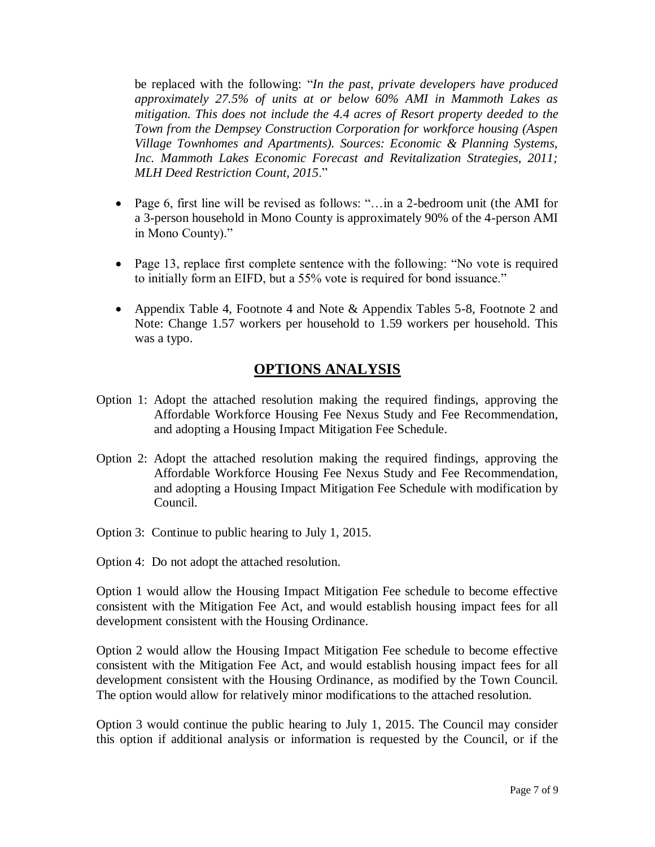be replaced with the following: "*In the past, private developers have produced approximately 27.5% of units at or below 60% AMI in Mammoth Lakes as mitigation. This does not include the 4.4 acres of Resort property deeded to the Town from the Dempsey Construction Corporation for workforce housing (Aspen Village Townhomes and Apartments). Sources: Economic & Planning Systems, Inc. Mammoth Lakes Economic Forecast and Revitalization Strategies, 2011; MLH Deed Restriction Count, 2015*."

- Page 6, first line will be revised as follows: "…in a 2-bedroom unit (the AMI for a 3-person household in Mono County is approximately 90% of the 4-person AMI in Mono County)."
- Page 13, replace first complete sentence with the following: "No vote is required to initially form an EIFD, but a 55% vote is required for bond issuance."
- Appendix Table 4, Footnote 4 and Note & Appendix Tables 5-8, Footnote 2 and Note: Change 1.57 workers per household to 1.59 workers per household. This was a typo.

# **OPTIONS ANALYSIS**

- Option 1: Adopt the attached resolution making the required findings, approving the Affordable Workforce Housing Fee Nexus Study and Fee Recommendation, and adopting a Housing Impact Mitigation Fee Schedule.
- Option 2: Adopt the attached resolution making the required findings, approving the Affordable Workforce Housing Fee Nexus Study and Fee Recommendation, and adopting a Housing Impact Mitigation Fee Schedule with modification by Council.
- Option 3: Continue to public hearing to July 1, 2015.
- Option 4: Do not adopt the attached resolution.

Option 1 would allow the Housing Impact Mitigation Fee schedule to become effective consistent with the Mitigation Fee Act, and would establish housing impact fees for all development consistent with the Housing Ordinance.

Option 2 would allow the Housing Impact Mitigation Fee schedule to become effective consistent with the Mitigation Fee Act, and would establish housing impact fees for all development consistent with the Housing Ordinance, as modified by the Town Council. The option would allow for relatively minor modifications to the attached resolution.

Option 3 would continue the public hearing to July 1, 2015. The Council may consider this option if additional analysis or information is requested by the Council, or if the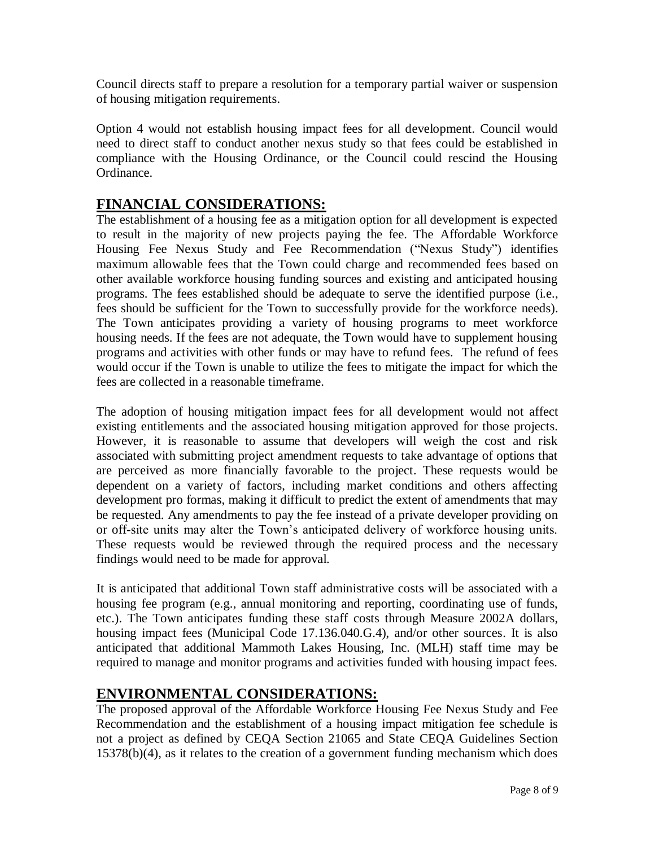Council directs staff to prepare a resolution for a temporary partial waiver or suspension of housing mitigation requirements.

Option 4 would not establish housing impact fees for all development. Council would need to direct staff to conduct another nexus study so that fees could be established in compliance with the Housing Ordinance, or the Council could rescind the Housing Ordinance.

# **FINANCIAL CONSIDERATIONS:**

The establishment of a housing fee as a mitigation option for all development is expected to result in the majority of new projects paying the fee. The Affordable Workforce Housing Fee Nexus Study and Fee Recommendation ("Nexus Study") identifies maximum allowable fees that the Town could charge and recommended fees based on other available workforce housing funding sources and existing and anticipated housing programs. The fees established should be adequate to serve the identified purpose (i.e., fees should be sufficient for the Town to successfully provide for the workforce needs). The Town anticipates providing a variety of housing programs to meet workforce housing needs. If the fees are not adequate, the Town would have to supplement housing programs and activities with other funds or may have to refund fees. The refund of fees would occur if the Town is unable to utilize the fees to mitigate the impact for which the fees are collected in a reasonable timeframe.

The adoption of housing mitigation impact fees for all development would not affect existing entitlements and the associated housing mitigation approved for those projects. However, it is reasonable to assume that developers will weigh the cost and risk associated with submitting project amendment requests to take advantage of options that are perceived as more financially favorable to the project. These requests would be dependent on a variety of factors, including market conditions and others affecting development pro formas, making it difficult to predict the extent of amendments that may be requested. Any amendments to pay the fee instead of a private developer providing on or off-site units may alter the Town's anticipated delivery of workforce housing units. These requests would be reviewed through the required process and the necessary findings would need to be made for approval.

It is anticipated that additional Town staff administrative costs will be associated with a housing fee program (e.g., annual monitoring and reporting, coordinating use of funds, etc.). The Town anticipates funding these staff costs through Measure 2002A dollars, housing impact fees (Municipal Code 17.136.040.G.4), and/or other sources. It is also anticipated that additional Mammoth Lakes Housing, Inc. (MLH) staff time may be required to manage and monitor programs and activities funded with housing impact fees.

# **ENVIRONMENTAL CONSIDERATIONS:**

The proposed approval of the Affordable Workforce Housing Fee Nexus Study and Fee Recommendation and the establishment of a housing impact mitigation fee schedule is not a project as defined by CEQA Section 21065 and State CEQA Guidelines Section 15378(b)(4), as it relates to the creation of a government funding mechanism which does